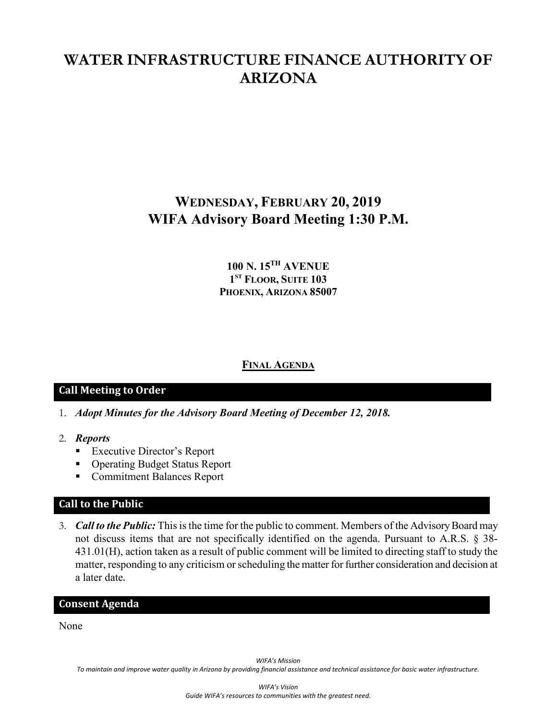# **WATER INFRASTRUCTURE FINANCE AUTHORITY OF ARIZONA**

# **WEDNESDAY, FEBRUARY 20, 2019 WIFA Advisory Board Meeting 1:30 P.M.**

# **100 N. 15TH AVENUE 1ST FLOOR, SUITE 103 PHOENIX, ARIZONA 85007**

### **FINAL AGENDA**

## **Call Meeting to Order**

- 1. *Adopt Minutes for the Advisory Board Meeting of December 12, 2018.*
- 2. *Reports*
	- **Executive Director's Report**
	- Operating Budget Status Report
	- **Commitment Balances Report**

#### **Call to the Public**

3. *Call to the Public:* This is the time for the public to comment. Members of the Advisory Board may not discuss items that are not specifically identified on the agenda. Pursuant to A.R.S. § 38- 431.01(H), action taken as a result of public comment will be limited to directing staff to study the matter, responding to any criticism or scheduling the matter for further consideration and decision at a later date.

#### **Consent Agenda**

None

*WIFA's Mission*

*To maintain and improve water quality in Arizona by providing financial assistance and technical assistance for basic water infrastructure.*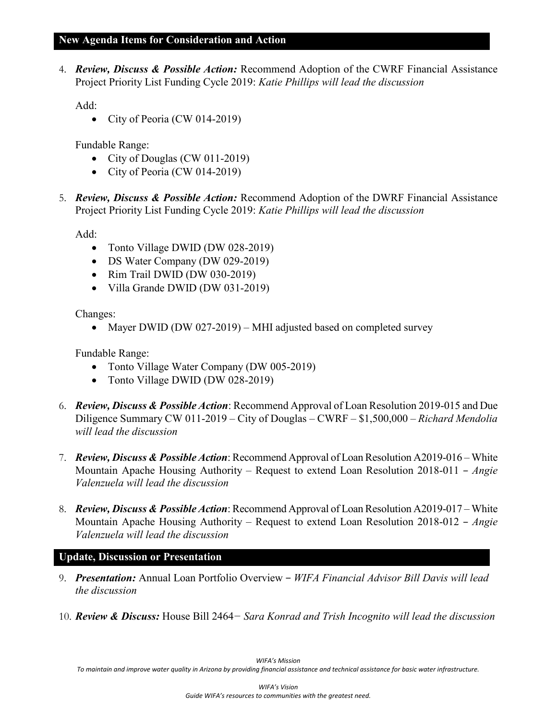### **New Agenda Items for Consideration and Action**

4. *Review, Discuss & Possible Action:* Recommend Adoption of the CWRF Financial Assistance Project Priority List Funding Cycle 2019: *Katie Phillips will lead the discussion*

Add:

• City of Peoria (CW 014-2019)

Fundable Range:

- City of Douglas (CW 011-2019)
- City of Peoria (CW 014-2019)
- 5. *Review, Discuss & Possible Action:* Recommend Adoption of the DWRF Financial Assistance Project Priority List Funding Cycle 2019: *Katie Phillips will lead the discussion*

Add:

- Tonto Village DWID (DW 028-2019)
- DS Water Company (DW 029-2019)
- Rim Trail DWID (DW 030-2019)
- Villa Grande DWID (DW 031-2019)

Changes:

• Mayer DWID (DW 027-2019) – MHI adjusted based on completed survey

Fundable Range:

- Tonto Village Water Company (DW 005-2019)
- Tonto Village DWID (DW 028-2019)
- 6. *Review, Discuss & Possible Action*: Recommend Approval of Loan Resolution 2019-015 and Due Diligence Summary CW 011-2019 – City of Douglas – CWRF – \$1,500,000 – *Richard Mendolia will lead the discussion*
- 7. *Review, Discuss & Possible Action*: Recommend Approval of Loan Resolution A2019-016 White Mountain Apache Housing Authority – Request to extend Loan Resolution 2018-011 – *Angie Valenzuela will lead the discussion*
- 8. *Review, Discuss & Possible Action*: Recommend Approval of Loan Resolution A2019-017 White Mountain Apache Housing Authority – Request to extend Loan Resolution 2018-012 – *Angie Valenzuela will lead the discussion*

## **Update, Discussion or Presentation**

- 9. *Presentation:* Annual Loan Portfolio Overview − *WIFA Financial Advisor Bill Davis will lead the discussion*
- 10. *Review & Discuss:* House Bill 2464*− Sara Konrad and Trish Incognito will lead the discussion*

*To maintain and improve water quality in Arizona by providing financial assistance and technical assistance for basic water infrastructure.*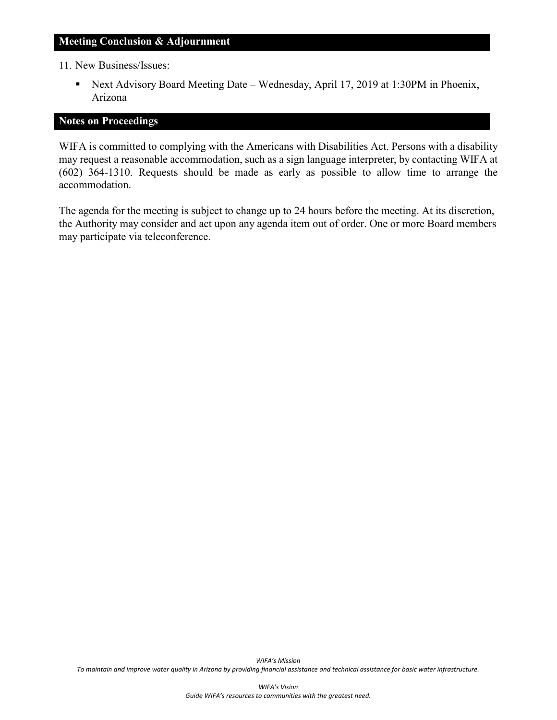#### **Meeting Conclusion & Adjournment**

11. New Business/Issues:

 Next Advisory Board Meeting Date – Wednesday, April 17, 2019 at 1:30PM in Phoenix, Arizona

#### **Notes on Proceedings**

WIFA is committed to complying with the Americans with Disabilities Act. Persons with a disability may request a reasonable accommodation, such as a sign language interpreter, by contacting WIFA at (602) 364-1310. Requests should be made as early as possible to allow time to arrange the accommodation.

The agenda for the meeting is subject to change up to 24 hours before the meeting. At its discretion, the Authority may consider and act upon any agenda item out of order. One or more Board members may participate via teleconference.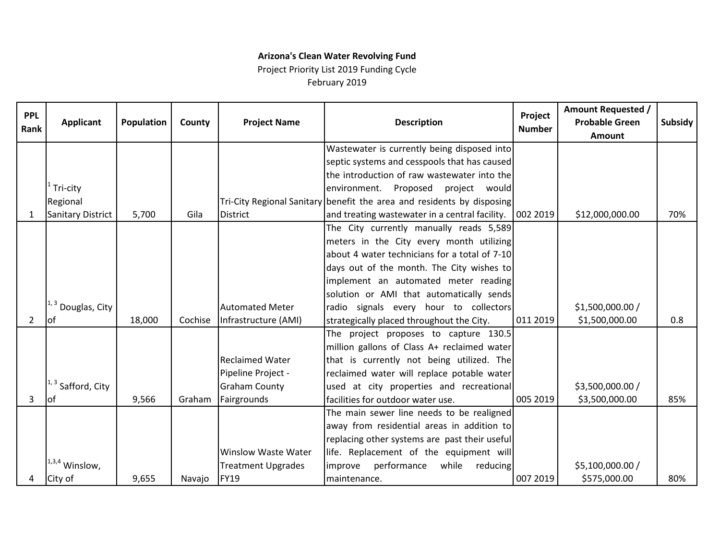# **Arizona's Clean Water Revolving Fund** Project Priority List 2019 Funding Cycle

February 2019

| <b>PPL</b><br>Rank | <b>Applicant</b>              | Population | County  | <b>Project Name</b>        | <b>Description</b>                                                     | Project<br><b>Number</b> | <b>Amount Requested /</b><br><b>Probable Green</b><br><b>Amount</b> | Subsidy |
|--------------------|-------------------------------|------------|---------|----------------------------|------------------------------------------------------------------------|--------------------------|---------------------------------------------------------------------|---------|
|                    |                               |            |         |                            | Wastewater is currently being disposed into                            |                          |                                                                     |         |
|                    |                               |            |         |                            | septic systems and cesspools that has caused                           |                          |                                                                     |         |
|                    |                               |            |         |                            | the introduction of raw wastewater into the                            |                          |                                                                     |         |
|                    | Tri-city                      |            |         |                            | environment. Proposed project would                                    |                          |                                                                     |         |
|                    | Regional                      |            |         |                            | Tri-City Regional Sanitary benefit the area and residents by disposing |                          |                                                                     |         |
| 1                  | Sanitary District             | 5,700      | Gila    | <b>District</b>            | and treating wastewater in a central facility.   002 2019              |                          | \$12,000,000.00                                                     | 70%     |
|                    |                               |            |         |                            | The City currently manually reads 5,589                                |                          |                                                                     |         |
|                    |                               |            |         |                            | meters in the City every month utilizing                               |                          |                                                                     |         |
|                    |                               |            |         |                            | about 4 water technicians for a total of 7-10                          |                          |                                                                     |         |
|                    |                               |            |         |                            | days out of the month. The City wishes to                              |                          |                                                                     |         |
|                    |                               |            |         |                            | implement an automated meter reading                                   |                          |                                                                     |         |
|                    |                               |            |         |                            | solution or AMI that automatically sends                               |                          |                                                                     |         |
|                    | $\vert^{1,3}$ Douglas, City   |            |         | <b>Automated Meter</b>     | radio signals every hour to collectors                                 |                          | \$1,500,000.00 /                                                    |         |
| 2                  | lof                           | 18,000     | Cochise | Infrastructure (AMI)       | strategically placed throughout the City.                              | 011 2019                 | \$1,500,000.00                                                      | 0.8     |
|                    |                               |            |         |                            | The project proposes to capture 130.5                                  |                          |                                                                     |         |
|                    |                               |            |         |                            | million gallons of Class A+ reclaimed water                            |                          |                                                                     |         |
|                    |                               |            |         | <b>Reclaimed Water</b>     | that is currently not being utilized. The                              |                          |                                                                     |         |
|                    |                               |            |         | Pipeline Project -         | reclaimed water will replace potable water                             |                          |                                                                     |         |
|                    | <sup>1, 3</sup> Safford, City |            |         | <b>Graham County</b>       | used at city properties and recreational                               |                          | \$3,500,000.00 /                                                    |         |
| 3                  | lof                           | 9,566      | Graham  | Fairgrounds                | facilities for outdoor water use.                                      | 005 2019                 | \$3,500,000.00                                                      | 85%     |
|                    |                               |            |         |                            | The main sewer line needs to be realigned                              |                          |                                                                     |         |
|                    |                               |            |         |                            | away from residential areas in addition to                             |                          |                                                                     |         |
|                    |                               |            |         |                            | replacing other systems are past their useful                          |                          |                                                                     |         |
|                    |                               |            |         | <b>Winslow Waste Water</b> | life. Replacement of the equipment will                                |                          |                                                                     |         |
|                    | $1,3,4$ Winslow,              |            |         | <b>Treatment Upgrades</b>  | performance<br>while<br>improve<br>reducing                            |                          | \$5,100,000.00 /                                                    |         |
| 4                  | City of                       | 9,655      | Navajo  | FY19                       | maintenance.                                                           | 007 2019                 | \$575,000.00                                                        | 80%     |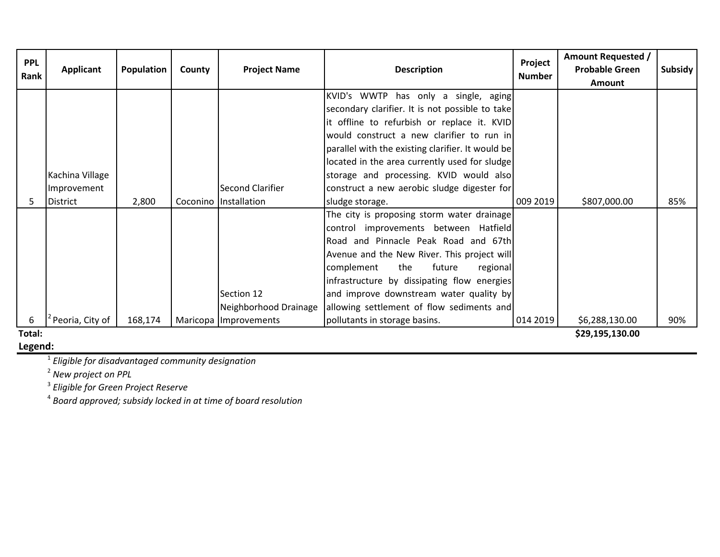| <b>PPL</b> | Applicant       | <b>Population</b> | County | <b>Project Name</b>   | <b>Description</b>                                | Project       | <b>Amount Requested /</b><br><b>Probable Green</b> | <b>Subsidy</b> |
|------------|-----------------|-------------------|--------|-----------------------|---------------------------------------------------|---------------|----------------------------------------------------|----------------|
| Rank       |                 |                   |        |                       |                                                   | <b>Number</b> | <b>Amount</b>                                      |                |
|            |                 |                   |        |                       | KVID's WWTP has only a single, aging              |               |                                                    |                |
|            |                 |                   |        |                       | secondary clarifier. It is not possible to take   |               |                                                    |                |
|            |                 |                   |        |                       | it offline to refurbish or replace it. KVID       |               |                                                    |                |
|            |                 |                   |        |                       | would construct a new clarifier to run in         |               |                                                    |                |
|            |                 |                   |        |                       | parallel with the existing clarifier. It would be |               |                                                    |                |
|            |                 |                   |        |                       | located in the area currently used for sludge     |               |                                                    |                |
|            | Kachina Village |                   |        |                       | storage and processing. KVID would also           |               |                                                    |                |
|            | Improvement     |                   |        | Second Clarifier      | construct a new aerobic sludge digester for       |               |                                                    |                |
|            | District        | 2,800             |        | Coconino Installation | sludge storage.                                   | 009 2019      | \$807,000.00                                       | 85%            |
|            |                 |                   |        |                       | The city is proposing storm water drainage        |               |                                                    |                |
|            |                 |                   |        |                       | control improvements between Hatfield             |               |                                                    |                |
|            |                 |                   |        |                       | Road and Pinnacle Peak Road and 67th              |               |                                                    |                |
|            |                 |                   |        |                       | Avenue and the New River. This project will       |               |                                                    |                |
|            |                 |                   |        |                       | complement<br>the<br>future<br>regional           |               |                                                    |                |
|            |                 |                   |        |                       | infrastructure by dissipating flow energies       |               |                                                    |                |
|            |                 |                   |        | Section 12            | and improve downstream water quality by           |               |                                                    |                |
|            |                 |                   |        | Neighborhood Drainage | allowing settlement of flow sediments and         |               |                                                    |                |
| 6          | Peoria, City of | 168,174           |        | Maricopa Improvements | pollutants in storage basins.                     | 014 2019      | \$6,288,130.00                                     | 90%            |
| Total:     |                 |                   |        |                       |                                                   |               | \$29,195,130.00                                    |                |

**Legend:**

<sup>1</sup> *Eligible for disadvantaged community designation*

<sup>2</sup> *New project on PPL*

<sup>3</sup> *Eligible for Green Project Reserve*

<sup>4</sup> *Board approved; subsidy locked in at time of board resolution*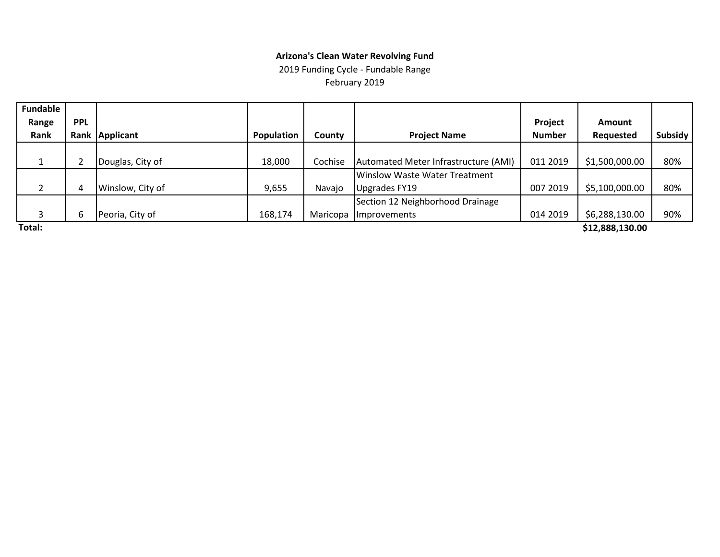### **Arizona's Clean Water Revolving Fund**

2019 Funding Cycle - Fundable Range February 2019

| <b>Fundable</b> |            |                  |                   |               |                                      |               |                 |         |
|-----------------|------------|------------------|-------------------|---------------|--------------------------------------|---------------|-----------------|---------|
| Range           | <b>PPL</b> |                  |                   |               |                                      | Project       | <b>Amount</b>   |         |
| Rank            |            | Rank Applicant   | <b>Population</b> | <b>County</b> | <b>Project Name</b>                  | <b>Number</b> | Requested       | Subsidy |
|                 |            |                  |                   |               |                                      |               |                 |         |
|                 |            | Douglas, City of | 18,000            | Cochise       | Automated Meter Infrastructure (AMI) | 011 2019      | \$1,500,000.00  | 80%     |
|                 |            |                  |                   |               | Winslow Waste Water Treatment        |               |                 |         |
|                 | 4          | Winslow, City of | 9,655             | Navajo        | Upgrades FY19                        | 007 2019      | \$5,100,000.00  | 80%     |
|                 |            |                  |                   |               | Section 12 Neighborhood Drainage     |               |                 |         |
| 3               | b          | Peoria, City of  | 168,174           | Maricopa      | <i>Improvements</i>                  | 014 2019      | \$6,288,130.00  | 90%     |
| Total:          |            |                  |                   |               |                                      |               | \$12,888,130.00 |         |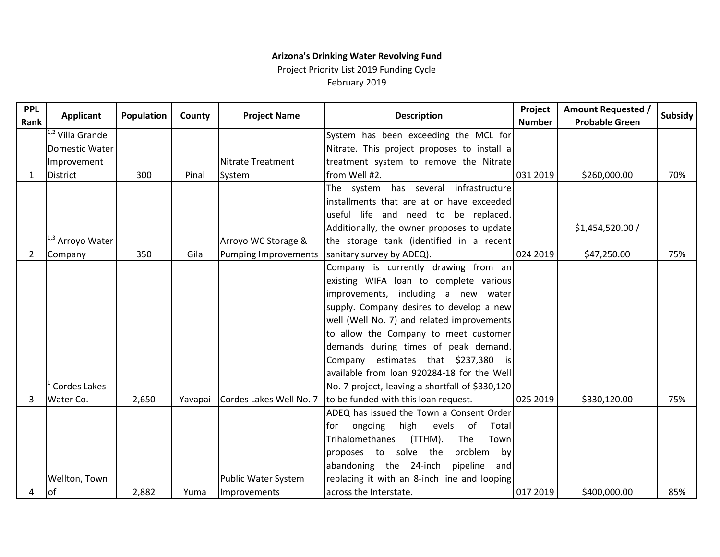# **Arizona's Drinking Water Revolving Fund**

Project Priority List 2019 Funding Cycle February 2019

| <b>PPL</b><br>Rank | <b>Applicant</b>            | <b>Population</b> | County  | <b>Project Name</b>         | <b>Description</b>                              | Project<br><b>Number</b> | <b>Amount Requested /</b><br><b>Probable Green</b> | <b>Subsidy</b> |
|--------------------|-----------------------------|-------------------|---------|-----------------------------|-------------------------------------------------|--------------------------|----------------------------------------------------|----------------|
|                    | $\sqrt{1,2}$ Villa Grande   |                   |         |                             | System has been exceeding the MCL for           |                          |                                                    |                |
|                    | Domestic Water              |                   |         |                             | Nitrate. This project proposes to install a     |                          |                                                    |                |
|                    | Improvement                 |                   |         | <b>Nitrate Treatment</b>    | treatment system to remove the Nitrate          |                          |                                                    |                |
| 1                  | <b>District</b>             | 300               | Pinal   | System                      | from Well #2.                                   | 031 2019                 | \$260,000.00                                       | 70%            |
|                    |                             |                   |         |                             | The system has several infrastructure           |                          |                                                    |                |
|                    |                             |                   |         |                             | installments that are at or have exceeded       |                          |                                                    |                |
|                    |                             |                   |         |                             | useful life and need to be replaced.            |                          |                                                    |                |
|                    |                             |                   |         |                             | Additionally, the owner proposes to update      |                          | \$1,454,520.00 /                                   |                |
|                    | <sup>1,3</sup> Arroyo Water |                   |         | Arroyo WC Storage &         | the storage tank (identified in a recent        |                          |                                                    |                |
| 2                  | Company                     | 350               | Gila    | <b>Pumping Improvements</b> | sanitary survey by ADEQ).                       | 024 2019                 | \$47,250.00                                        | 75%            |
|                    |                             |                   |         |                             | Company is currently drawing from an            |                          |                                                    |                |
|                    |                             |                   |         |                             | existing WIFA loan to complete various          |                          |                                                    |                |
|                    |                             |                   |         |                             | improvements, including a new water             |                          |                                                    |                |
|                    |                             |                   |         |                             | supply. Company desires to develop a new        |                          |                                                    |                |
|                    |                             |                   |         |                             | well (Well No. 7) and related improvements      |                          |                                                    |                |
|                    |                             |                   |         |                             | to allow the Company to meet customer           |                          |                                                    |                |
|                    |                             |                   |         |                             | demands during times of peak demand.            |                          |                                                    |                |
|                    |                             |                   |         |                             | Company estimates that \$237,380 is             |                          |                                                    |                |
|                    |                             |                   |         |                             | available from loan 920284-18 for the Well      |                          |                                                    |                |
|                    | Cordes Lakes                |                   |         |                             | No. 7 project, leaving a shortfall of \$330,120 |                          |                                                    |                |
| 3                  | Water Co.                   | 2,650             | Yavapai | Cordes Lakes Well No. 7     | to be funded with this loan request.            | 025 2019                 | \$330,120.00                                       | 75%            |
|                    |                             |                   |         |                             | ADEQ has issued the Town a Consent Order        |                          |                                                    |                |
|                    |                             |                   |         |                             | of<br>ongoing<br>high<br>levels<br>Total<br>for |                          |                                                    |                |
|                    |                             |                   |         |                             | Trihalomethanes<br>(TTHM).<br>The<br>Town       |                          |                                                    |                |
|                    |                             |                   |         |                             | problem<br>proposes to solve the<br>by          |                          |                                                    |                |
|                    |                             |                   |         |                             | abandoning the 24-inch<br>pipeline<br>and       |                          |                                                    |                |
|                    | Wellton, Town               |                   |         | Public Water System         | replacing it with an 8-inch line and looping    |                          |                                                    |                |
| 4                  | lof                         | 2,882             | Yuma    | Improvements                | across the Interstate.                          | 017 2019                 | \$400,000.00                                       | 85%            |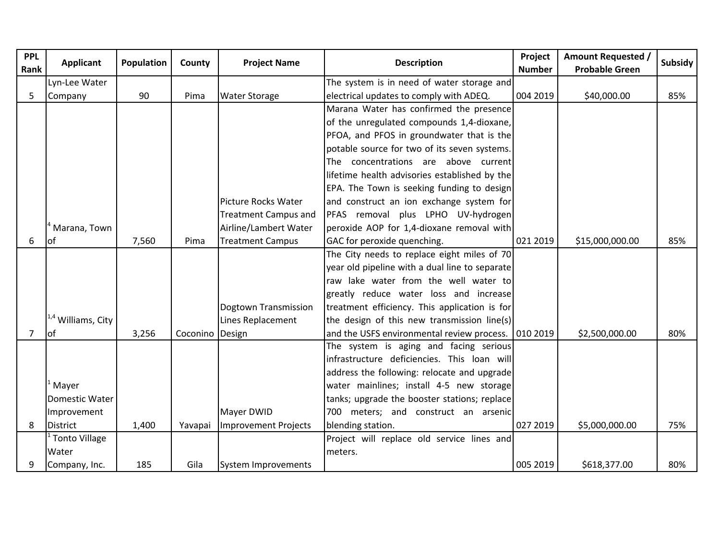| <b>PPL</b><br>Rank | <b>Applicant</b>              | <b>Population</b> | County   | <b>Project Name</b>         | <b>Description</b>                                  | Project<br><b>Number</b> | Amount Requested /<br><b>Probable Green</b> | Subsidy |
|--------------------|-------------------------------|-------------------|----------|-----------------------------|-----------------------------------------------------|--------------------------|---------------------------------------------|---------|
|                    | Lyn-Lee Water                 |                   |          |                             | The system is in need of water storage and          |                          |                                             |         |
| 5                  | Company                       | 90                | Pima     | <b>Water Storage</b>        | electrical updates to comply with ADEQ.             | 004 2019                 | \$40,000.00                                 | 85%     |
|                    |                               |                   |          |                             | Marana Water has confirmed the presence             |                          |                                             |         |
|                    |                               |                   |          |                             | of the unregulated compounds 1,4-dioxane,           |                          |                                             |         |
|                    |                               |                   |          |                             | PFOA, and PFOS in groundwater that is the           |                          |                                             |         |
|                    |                               |                   |          |                             | potable source for two of its seven systems.        |                          |                                             |         |
|                    |                               |                   |          |                             | The concentrations are above current                |                          |                                             |         |
|                    |                               |                   |          |                             | lifetime health advisories established by the       |                          |                                             |         |
|                    |                               |                   |          |                             | EPA. The Town is seeking funding to design          |                          |                                             |         |
|                    |                               |                   |          | Picture Rocks Water         | and construct an ion exchange system for            |                          |                                             |         |
|                    |                               |                   |          | <b>Treatment Campus and</b> | PFAS removal plus LPHO UV-hydrogen                  |                          |                                             |         |
|                    | Marana, Town                  |                   |          | Airline/Lambert Water       | peroxide AOP for 1,4-dioxane removal with           |                          |                                             |         |
| 6                  | lof                           | 7,560             | Pima     | <b>Treatment Campus</b>     | GAC for peroxide quenching.                         | 021 2019                 | \$15,000,000.00                             | 85%     |
|                    |                               |                   |          |                             | The City needs to replace eight miles of 70         |                          |                                             |         |
|                    |                               |                   |          |                             | year old pipeline with a dual line to separate      |                          |                                             |         |
|                    |                               |                   |          |                             | raw lake water from the well water to               |                          |                                             |         |
|                    |                               |                   |          |                             | greatly reduce water loss and increase              |                          |                                             |         |
|                    |                               |                   |          | Dogtown Transmission        | treatment efficiency. This application is for       |                          |                                             |         |
|                    | <sup>1,4</sup> Williams, City |                   |          | Lines Replacement           | the design of this new transmission line(s)         |                          |                                             |         |
| 7                  | lof                           | 3,256             | Coconino | Design                      | and the USFS environmental review process. 010 2019 |                          | \$2,500,000.00                              | 80%     |
|                    |                               |                   |          |                             | The system is aging and facing serious              |                          |                                             |         |
|                    |                               |                   |          |                             | infrastructure deficiencies. This loan will         |                          |                                             |         |
|                    |                               |                   |          |                             | address the following: relocate and upgrade         |                          |                                             |         |
|                    | Mayer                         |                   |          |                             | water mainlines; install 4-5 new storage            |                          |                                             |         |
|                    | Domestic Water                |                   |          |                             | tanks; upgrade the booster stations; replace        |                          |                                             |         |
|                    | Improvement                   |                   |          | Mayer DWID                  | 700 meters; and construct an arsenic                |                          |                                             |         |
| 8                  | <b>District</b>               | 1,400             | Yavapai  | <b>Improvement Projects</b> | blending station.                                   | 027 2019                 | \$5,000,000.00                              | 75%     |
|                    | <b>Tonto Village</b>          |                   |          |                             | Project will replace old service lines and          |                          |                                             |         |
|                    | Water                         |                   |          |                             | meters.                                             |                          |                                             |         |
| 9                  | Company, Inc.                 | 185               | Gila     | System Improvements         |                                                     | 005 2019                 | \$618,377.00                                | 80%     |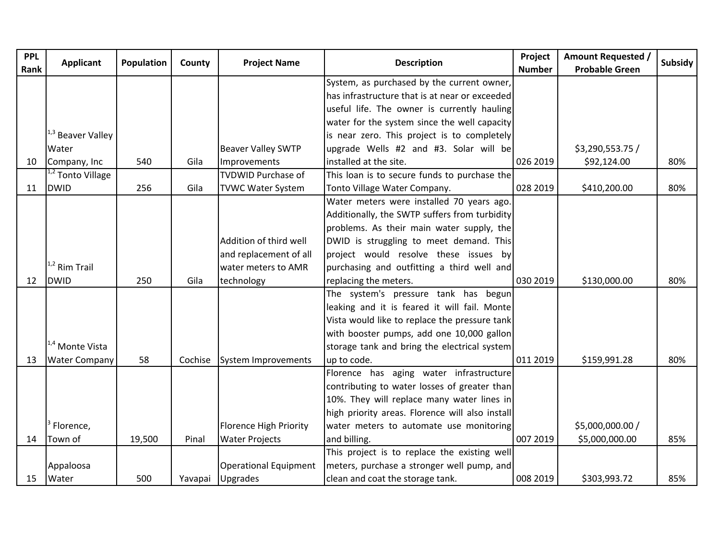| <b>PPL</b><br>Rank | <b>Applicant</b>             | Population | County  | <b>Project Name</b>         | <b>Description</b>                              | Project<br><b>Number</b> | <b>Amount Requested /</b><br><b>Probable Green</b> | <b>Subsidy</b> |
|--------------------|------------------------------|------------|---------|-----------------------------|-------------------------------------------------|--------------------------|----------------------------------------------------|----------------|
|                    |                              |            |         |                             | System, as purchased by the current owner,      |                          |                                                    |                |
|                    |                              |            |         |                             | has infrastructure that is at near or exceeded  |                          |                                                    |                |
|                    |                              |            |         |                             | useful life. The owner is currently hauling     |                          |                                                    |                |
|                    |                              |            |         |                             | water for the system since the well capacity    |                          |                                                    |                |
|                    | <sup>1,3</sup> Beaver Valley |            |         |                             | is near zero. This project is to completely     |                          |                                                    |                |
|                    | Water                        |            |         | <b>Beaver Valley SWTP</b>   | upgrade Wells #2 and #3. Solar will be          |                          | \$3,290,553.75 /                                   |                |
| 10                 | Company, Inc                 | 540        | Gila    | Improvements                | installed at the site.                          | 026 2019                 | \$92,124.00                                        | 80%            |
|                    | <sup>1,2</sup> Tonto Village |            |         | <b>TVDWID Purchase of</b>   | This loan is to secure funds to purchase the    |                          |                                                    |                |
| 11                 | <b>DWID</b>                  | 256        | Gila    | <b>TVWC Water System</b>    | Tonto Village Water Company.                    | 028 2019                 | \$410,200.00                                       | 80%            |
|                    |                              |            |         |                             | Water meters were installed 70 years ago.       |                          |                                                    |                |
|                    |                              |            |         |                             | Additionally, the SWTP suffers from turbidity   |                          |                                                    |                |
|                    |                              |            |         |                             | problems. As their main water supply, the       |                          |                                                    |                |
|                    |                              |            |         | Addition of third well      | DWID is struggling to meet demand. This         |                          |                                                    |                |
|                    |                              |            |         | and replacement of all      | project would resolve these issues by           |                          |                                                    |                |
|                    | $11,2$ Rim Trail             |            |         | water meters to AMR         | purchasing and outfitting a third well and      |                          |                                                    |                |
| 12                 | <b>DWID</b>                  | 250        | Gila    | technology                  | replacing the meters.                           | 030 2019                 | \$130,000.00                                       | 80%            |
|                    |                              |            |         |                             | The system's pressure tank has begun            |                          |                                                    |                |
|                    |                              |            |         |                             | leaking and it is feared it will fail. Monte    |                          |                                                    |                |
|                    |                              |            |         |                             | Vista would like to replace the pressure tank   |                          |                                                    |                |
|                    |                              |            |         |                             | with booster pumps, add one 10,000 gallon       |                          |                                                    |                |
|                    | <sup>1,4</sup> Monte Vista   |            |         |                             | storage tank and bring the electrical system    |                          |                                                    |                |
| 13                 | <b>Water Company</b>         | 58         |         | Cochise System Improvements | up to code.                                     | 011 2019                 | \$159,991.28                                       | 80%            |
|                    |                              |            |         |                             | Florence has aging water infrastructure         |                          |                                                    |                |
|                    |                              |            |         |                             | contributing to water losses of greater than    |                          |                                                    |                |
|                    |                              |            |         |                             | 10%. They will replace many water lines in      |                          |                                                    |                |
|                    |                              |            |         |                             | high priority areas. Florence will also install |                          |                                                    |                |
|                    | Florence,                    |            |         | Florence High Priority      | water meters to automate use monitoring         |                          | \$5,000,000.00 /                                   |                |
| 14                 | Town of                      | 19,500     | Pinal   | <b>Water Projects</b>       | and billing.                                    | 007 2019                 | \$5,000,000.00                                     | 85%            |
|                    |                              |            |         |                             | This project is to replace the existing well    |                          |                                                    |                |
|                    | Appaloosa                    |            |         | Operational Equipment       | meters, purchase a stronger well pump, and      |                          |                                                    |                |
| 15                 | Water                        | 500        | Yavapai | <b>Upgrades</b>             | clean and coat the storage tank.                | 008 2019                 | \$303,993.72                                       | 85%            |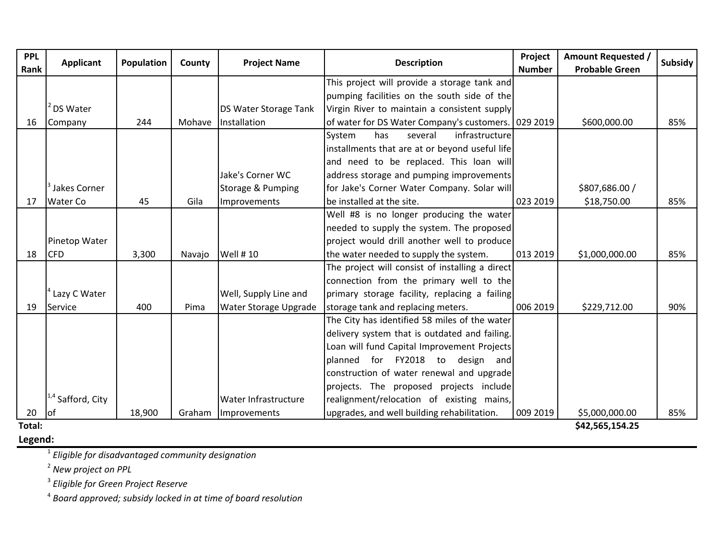| <b>PPL</b><br>Rank | <b>Applicant</b>             | Population | County | <b>Project Name</b>          | <b>Description</b>                                  | Project<br><b>Number</b> | <b>Amount Requested /</b><br><b>Probable Green</b> | <b>Subsidy</b> |
|--------------------|------------------------------|------------|--------|------------------------------|-----------------------------------------------------|--------------------------|----------------------------------------------------|----------------|
|                    |                              |            |        |                              | This project will provide a storage tank and        |                          |                                                    |                |
|                    |                              |            |        |                              | pumping facilities on the south side of the         |                          |                                                    |                |
|                    | DS Water                     |            |        | DS Water Storage Tank        | Virgin River to maintain a consistent supply        |                          |                                                    |                |
| 16                 | Company                      | 244        | Mohave | Installation                 | of water for DS Water Company's customers. 029 2019 |                          | \$600,000.00                                       | 85%            |
|                    |                              |            |        |                              | several<br>infrastructure<br>System<br>has          |                          |                                                    |                |
|                    |                              |            |        |                              | installments that are at or beyond useful life      |                          |                                                    |                |
|                    |                              |            |        |                              | and need to be replaced. This loan will             |                          |                                                    |                |
|                    |                              |            |        | Jake's Corner WC             | address storage and pumping improvements            |                          |                                                    |                |
|                    | Jakes Corner                 |            |        | Storage & Pumping            | for Jake's Corner Water Company. Solar will         |                          | \$807,686.00 /                                     |                |
| 17                 | <b>Water Co</b>              | 45         | Gila   | Improvements                 | be installed at the site.                           | 023 2019                 | \$18,750.00                                        | 85%            |
|                    |                              |            |        |                              | Well #8 is no longer producing the water            |                          |                                                    |                |
|                    |                              |            |        |                              | needed to supply the system. The proposed           |                          |                                                    |                |
|                    | Pinetop Water                |            |        |                              | project would drill another well to produce         |                          |                                                    |                |
| 18                 | <b>CFD</b>                   | 3,300      | Navajo | <b>Well #10</b>              | the water needed to supply the system.              | 013 2019                 | \$1,000,000.00                                     | 85%            |
|                    |                              |            |        |                              | The project will consist of installing a direct     |                          |                                                    |                |
|                    |                              |            |        |                              | connection from the primary well to the             |                          |                                                    |                |
|                    | Lazy C Water                 |            |        | Well, Supply Line and        | primary storage facility, replacing a failing       |                          |                                                    |                |
| 19                 | Service                      | 400        | Pima   | <b>Water Storage Upgrade</b> | storage tank and replacing meters.                  | 006 2019                 | \$229,712.00                                       | 90%            |
|                    |                              |            |        |                              | The City has identified 58 miles of the water       |                          |                                                    |                |
|                    |                              |            |        |                              | delivery system that is outdated and failing.       |                          |                                                    |                |
|                    |                              |            |        |                              | Loan will fund Capital Improvement Projects         |                          |                                                    |                |
|                    |                              |            |        |                              | planned for FY2018 to design<br>andl                |                          |                                                    |                |
|                    |                              |            |        |                              | construction of water renewal and upgrade           |                          |                                                    |                |
|                    |                              |            |        |                              | projects. The proposed projects include             |                          |                                                    |                |
|                    | <sup>1,4</sup> Safford, City |            |        | <b>Water Infrastructure</b>  | realignment/relocation of existing mains,           |                          |                                                    |                |
| 20                 | lof                          | 18,900     | Graham | Improvements                 | upgrades, and well building rehabilitation.         | 009 2019                 | \$5,000,000.00                                     | 85%            |
| Total:             |                              |            |        |                              |                                                     |                          | \$42,565,154.25                                    |                |

**Legend:**

**\$42,565,154.25** 

1 *Eligible for disadvantaged community designation*

2 *New project on PPL*

3 *Eligible for Green Project Reserve*

4 *Board approved; subsidy locked in at time of board resolution*